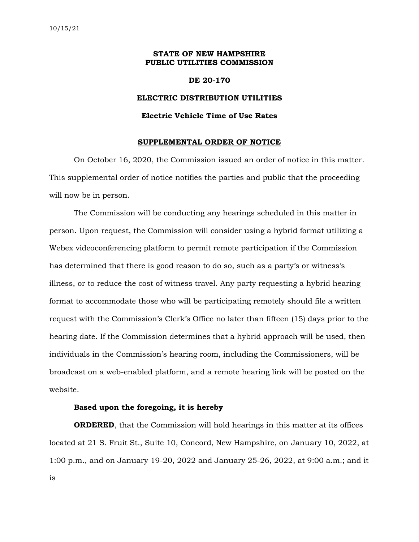# **STATE OF NEW HAMPSHIRE PUBLIC UTILITIES COMMISSION**

## **DE 20-170**

## **ELECTRIC DISTRIBUTION UTILITIES**

#### **Electric Vehicle Time of Use Rates**

#### **SUPPLEMENTAL ORDER OF NOTICE**

On October 16, 2020, the Commission issued an order of notice in this matter. This supplemental order of notice notifies the parties and public that the proceeding will now be in person.

The Commission will be conducting any hearings scheduled in this matter in person. Upon request, the Commission will consider using a hybrid format utilizing a Webex videoconferencing platform to permit remote participation if the Commission has determined that there is good reason to do so, such as a party's or witness's illness, or to reduce the cost of witness travel. Any party requesting a hybrid hearing format to accommodate those who will be participating remotely should file a written request with the Commission's Clerk's Office no later than fifteen (15) days prior to the hearing date. If the Commission determines that a hybrid approach will be used, then individuals in the Commission's hearing room, including the Commissioners, will be broadcast on a web-enabled platform, and a remote hearing link will be posted on the website.

# **Based upon the foregoing, it is hereby**

**ORDERED**, that the Commission will hold hearings in this matter at its offices located at 21 S. Fruit St., Suite 10, Concord, New Hampshire, on January 10, 2022, at 1:00 p.m., and on January 19-20, 2022 and January 25-26, 2022, at 9:00 a.m.; and it is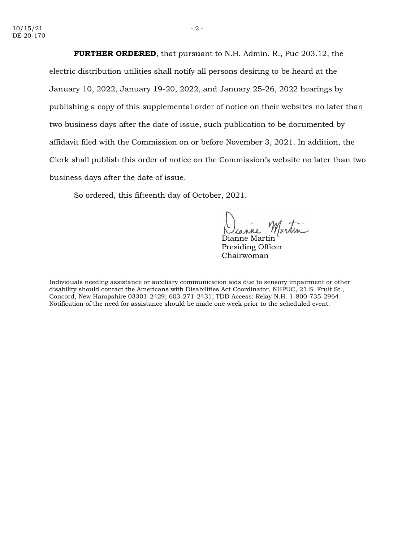**FURTHER ORDERED**, that pursuant to N.H. Admin. R., Puc 203.12, the electric distribution utilities shall notify all persons desiring to be heard at the January 10, 2022, January 19-20, 2022, and January 25-26, 2022 hearings by publishing a copy of this supplemental order of notice on their websites no later than two business days after the date of issue, such publication to be documented by affidavit filed with the Commission on or before November 3, 2021. In addition, the Clerk shall publish this order of notice on the Commission's website no later than two business days after the date of issue.

So ordered, this fifteenth day of October, 2021.

Dianne Martin Presiding Officer Chairwoman

Individuals needing assistance or auxiliary communication aids due to sensory impairment or other disability should contact the Americans with Disabilities Act Coordinator, NHPUC, 21 S. Fruit St., Concord, New Hampshire 03301-2429; 603-271-2431; TDD Access: Relay N.H. 1-800-735-2964. Notification of the need for assistance should be made one week prior to the scheduled event.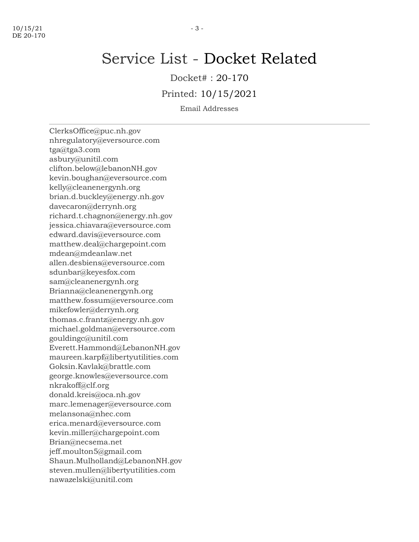# Service List - Docket Related

Docket# : 20-170

Printed: 10/15/2021

Email Addresses

ClerksOffice@puc.nh.gov nhregulatory@eversource.com tga@tga3.com asbury@unitil.com clifton.below@lebanonNH.gov kevin.boughan@eversource.com kelly@cleanenergynh.org brian.d.buckley@energy.nh.gov davecaron@derrynh.org richard.t.chagnon@energy.nh.gov jessica.chiavara@eversource.com edward.davis@eversource.com matthew.deal@chargepoint.com mdean@mdeanlaw.net allen.desbiens@eversource.com sdunbar@keyesfox.com sam@cleanenergynh.org Brianna@cleanenergynh.org matthew.fossum@eversource.com mikefowler@derrynh.org thomas.c.frantz@energy.nh.gov michael.goldman@eversource.com gouldingc@unitil.com Everett.Hammond@LebanonNH.gov maureen.karpf@libertyutilities.com Goksin.Kavlak@brattle.com george.knowles@eversource.com nkrakoff@clf.org donald.kreis@oca.nh.gov marc.lemenager@eversource.com melansona@nhec.com erica.menard@eversource.com kevin.miller@chargepoint.com Brian@necsema.net jeff.moulton5@gmail.com Shaun.Mulholland@LebanonNH.gov steven.mullen@libertyutilities.com nawazelski@unitil.com